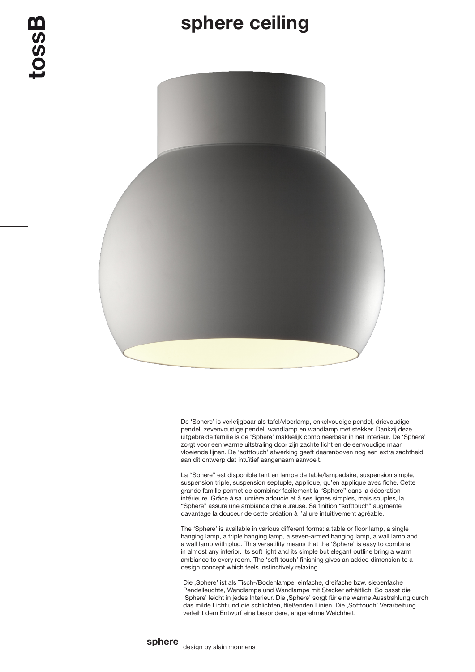## sphere ceiling



De 'Sphere' is verkrijgbaar als tafel/vloerlamp, enkelvoudige pendel, drievoudige pendel, zevenvoudige pendel, wandlamp en wandlamp met stekker. Dankzij deze uitgebreide familie is de 'Sphere' makkelijk combineerbaar in het interieur. De 'Sphere' zorgt voor een warme uitstraling door zijn zachte licht en de eenvoudige maar vloeiende lijnen. De 'softtouch' afwerking geeft daarenboven nog een extra zachtheid aan dit ontwerp dat intuïtief aangenaam aanvoelt.

La "Sphere" est disponible tant en lampe de table/lampadaire, suspension simple, suspension triple, suspension septuple, applique, qu'en applique avec fiche. Cette grande famille permet de combiner facilement la "Sphere" dans la décoration intérieure. Grâce à sa lumière adoucie et à ses lignes simples, mais souples, la "Sphere" assure une ambiance chaleureuse. Sa finition "softtouch" augmente davantage la douceur de cette création à l'allure intuitivement agréable.

The 'Sphere' is available in various different forms: a table or floor lamp, a single hanging lamp, a triple hanging lamp, a seven-armed hanging lamp, a wall lamp and a wall lamp with plug. This versatility means that the 'Sphere' is easy to combine in almost any interior. Its soft light and its simple but elegant outline bring a warm ambiance to every room. The 'soft touch' finishing gives an added dimension to a design concept which feels instinctively relaxing.

Die 'Sphere' ist als Tisch-/Bodenlampe, einfache, dreifache bzw. siebenfache Pendelleuchte, Wandlampe und Wandlampe mit Stecker erhältlich. So passt die ,Sphere' leicht in jedes Interieur. Die ,Sphere' sorgt für eine warme Ausstrahlung durch das milde Licht und die schlichten, fließenden Linien. Die ,Softtouch' Verarbeitung verleiht dem Entwurf eine besondere, angenehme Weichheit.